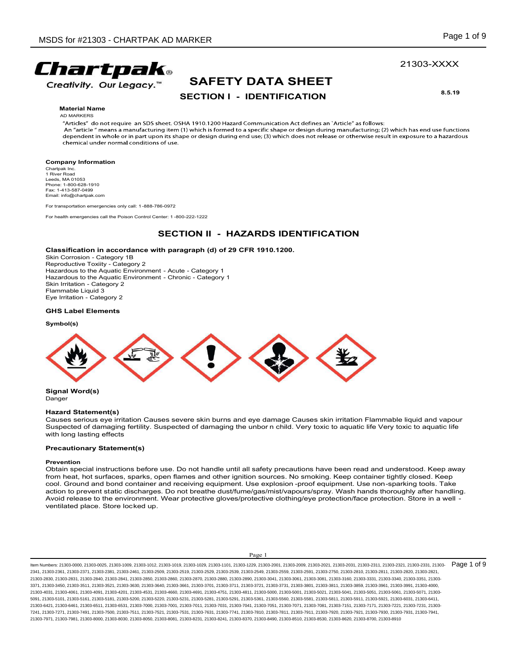# 21303-XXXX

# SAFETY DATA SHEET

**Material Name** 

AD MARKERS

RARKER<br>
SAFETY DATA SHEET<br>
SECTION I - IDENTIFICATION<br>
SHA 1910.1200 Hazard Communication Act defines an `Article" as follows:<br>
(1) which has end use functions<br>
pe or design during end use; (3) which does not release or ot SDS for #21303 - CHARTPAK AD MARKER<br>
For transportation emergency,"<br>
SAFETY DATA SHEET<br>
Material Name<br>
Ander' donorequire an 905 sheet. OSMA 19161200 Hazard Communication Art defines an "Article" stoliows:<br>
Ander' donorequ For #21303 - CHARTPAK AD MARKER<br>
For driving and Control Center of the Poison Center of the Poison Center of the Poison Center of the Poison Center of the Poison Center of the Poison Center of the Poison Center of the Pois From Section 1 - DENTIFICATION<br>
SAFETY DATA SHEET<br>
SECTION I - IDENTIFICATION<br>
And SECTION 1 - IDENTIFICATION<br>
And SECTION 1 - IDENTIFICATION<br>
The shape of design during end use (3) which does not release or otherwise resu **Creativity. Our Legacy."**<br>
SAFETY DATA SHEET<br>
SECTION I - IDENTIFICATION 8.8-19<br>
Material Name<br>
Material Schemes and Scheme CSU VPO DOILIGENT CONTROL REVIEW (ARRESTS)<br>
And Material Schemes and Scheme CSU VPO DOILIGENT Com FINDER SAFETY DATA SHEET<br>
SECTION I - IDENTIFICATION<br>
Material Name<br>
Material Name<br>
Material Name<br>
Material Name<br>
Material Name<br>
Material Name<br>
Material Name<br>
Material Name<br>
Material Name<br>
Material Name<br>
Material Name<br>
Mat

### Company Information

Chartpak Inc.<br>1 River Road Leeds, MA 01053<br>Phone: 1-800-628-1910 Fax: 1-413-587-0499 Email: info@chartpak.com

### Classification in accordance with paragraph (d) of 29 CFR 1910.1200.

SDS for #21303 - CHARTPAK AD MARKER<br>
Creativity. Our Legacy."<br>
SAFETY DATA SHEET<br>
SECTION I - IDENTIFICATION<br>
Matorial Name<br>  $\frac{6.9 \times 10^{-14}}{2.4 \times 10^{-14}}$  and  $\frac{6.9 \times 10^{-14}}{2.4 \times 10^{-14}}$  and  $\frac{6.9 \times 10^{-14}}{2.4 \times 10^{-$ Creativity. Our Legacy."<br>
SAFETY DATA SHEET<br>
SECTION I - IDENTIFICATION<br>
Material Name<br>
Material Name<br>
Material Name<br>
Material Name<br>
Category and SOS share. 0514, 1910.1200 Hazard Communication Act defines an 'Article' as **EXECTION I - IDENTIFICATION**<br>
SKIN IRRETY DATA SHEET<br>
Material Name<br>
Annual Material Manne<br>
Annual Material Manne<br>
Annual Material Manne<br>
Annual Material Material and SDS sheet. OSHA 1910.1200 Hazard Communication Act def Flammable Liquid 3 Creativity. Our Legacy."<br>
SECTION I - IDENTIFICATION<br>
Material Name<br>
Analoge do not require an SOS sheet. OSHA 1910.1200 Hazard Communication Act defines an 'Article' as for<br>
An article' mass is manufacturing from (1) whi

### GHS Label Elements

### Symbol(s)



Signal Word(s) **Danger** 

### Hazard Statement(s)

Causes serious eye irritation Causes severe skin burns and eye damage Causes skin irritation Flammable liquid and vapour with long lasting effects

### Precautionary Statement(s)

### Prevention

Obtain special instructions before use. Do not handle until all safety precautions have been read and understood. Keep away from heat, hot surfaces, sparks, open flames and other ignition sources. No smoking. Keep container tightly closed. Keep cool. Ground and bond container and receiving equipment. Use explosion -proof equipment. Use non-sparking tools. Take<br>action to prevent static discharges. Do not breathe dust/fume/gas/mist/vapours/spray. Wash hands thoroug ventilated place. Store locked up.

eye damage Causes skin irritation Flammable liquid and vapour<br>unbor n child. Very toxic to aquatic life Very toxic to aquatic life<br>safety precautions have been read and understood. Keep away<br>on sources. No smoking. Keep co ltem Numbers: 21303-0000, 21303-0025, 21303-1019, 21303-1019, 21303-1029, 21303-1029, 21303-2201, 21303-2000, 21303-2009, 21303-2031, 21303-2031, 21303-231, 21303-2321, 21303-2321, 21303-2321, 21303-2331, 21303-2031, 21303 2341, 21303-2361, 21303-2371, 21303-2381, 21303-2461, 21303-2509, 21303-2519, 21303-2529, 21303-2539, 21303-2549, 21303-2559, 21303-2591, 21303-2750, 21303-2810, 21303-2811, 21303-2820, 21303-2821, 21303-2830, 21303-2831, 21303-2840, 21303-2841, 21303-2850, 21303-2860, 21303-2870, 21303-2880, 21303-2890, 21303-3041, 21303-3061, 21303-3081, 21303-3160, 21303-3331, 21303-3340, 21303-3351, 21303- 3371, 21303-3450, 21303-3511, 21303-3521, 21303-3630, 21303-3640, 21303-3661, 21303-3701, 21303-3711, 21303-3721, 21303-3731, 21303-3801, 21303-3811, 21303-3859, 21303-3961, 21303-3991, 21303-4000, 21303-4031, 21303-4061, 21303-4091, 21303-4201, 21303-4531, 21303-4660, 21303-4691, 21303-4751, 21303-4811, 21303-5000, 21303-5001, 21303-5021, 21303-5041, 21303-5051, 21303-5061, 21303-5071, 21303- 5091, 21303-5101, 21303-5161, 21303-5181, 21303-5200, 21303-5220, 21303-5231, 21303-5281, 21303-5291, 21303-5361, 21303-5560, 21303-5581, 21303-5811, 21303-5911, 21303-5921, 21303-6031, 21303-6411, 21303-6421, 21303-6461, 21303-6511, 21303-6531, 21303-7000, 21303-7001, 21303-7011, 21303-7031, 21303-7041, 21303-7051, 21303-7071, 21303-7081, 21303-7151, 21303-7171, 21303-7221, 21303-7231, 21303- 7241, 21303-7271, 21303-7491, 21303-7500, 21303-7511, 21303-7521, 21303-7531, 21303-7631, 21303-7741, 21303-7810, 21303-7811, 21303-7911, 21303-7920, 21303-7921, 21303-7930, 21303-7931, 21303-7941, 21303-7971, 21303-7981, 21303-8000, 21303-8030, 21303-8050, 21303-8081, 21303-8231, 21303-8241, 21303-8370, 21303-8490, 21303-8510, 21303-8530, 21303-8620, 21303-8700, 21303-8910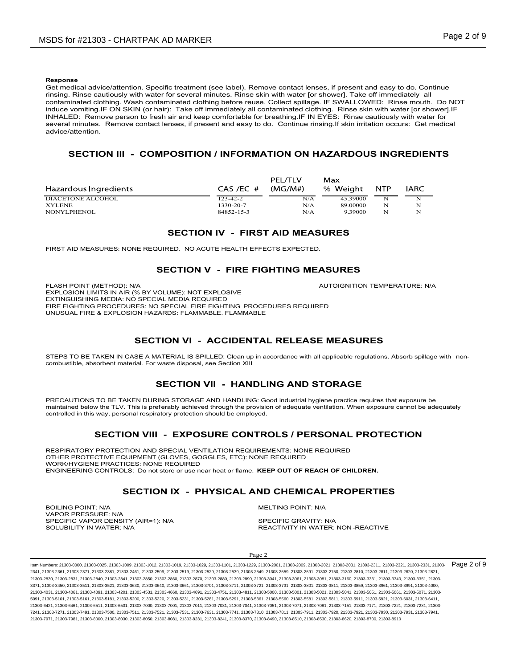### Response

Get medical advice/attention. Specific treatment (see label). Remove contact lenses, if present and easy to do. Continue **Response**<br>**Response**<br>**Response**<br>Get medical advice/attention. Specific treatment (see label), Remove contact lenses, if present and easy to do. Continue<br>finising. Rinse cautiously with water for several minutes. Rinse ski contaminated clothing. Wash contaminated clothing before reuse. Collect spillage. IF SWALLOWED: Rinse mouth. Do NOT induce vomiting.IF ON SKIN (or hair): Take off immediately all contaminated clothing. Rinse skin with water [or shower].IF SDS for #21303 - CHARTPAK AD MARKER<br>
Page 2 of 9<br>
Response<br>
Get medical advice/attention. Specific treatment (see labe)). Remove contact lenses, if present and easy to do. Continue<br>
Tristing. Rinse cautiously with water fo several minutes. Remove contact lenses, if present and easy to do. Continue rinsing.If skin irritation occurs: Get medical advice/attention. or #21303 - CHARTPAK AD MARKER<br>
Secondary and the metallical advice attention. Specific treatment (see label). Remove contact lenses, if present and easy to do. Continue<br>
SECTION III - COMPOSITION / INFORMATION ON HAZARDO SDS for #21303 - CHARTPAK AD MARKER<br> **Resonse**<br> **Resonse**<br> **Resonse**<br> **Calcometrical adviced/attention. Specific treatment (see label). Remove contact lenses, if present and easy to do. Continue<br>
determinated clubing Wash** SDS for #21303 - CHARTPAK AD MARKER<br>
Response<br>
Response and the control of the control of the control of the control of the control of the control of the control of the control of the control of the control of the control SDS for #21303 - CHARTPAK AD MARKER<br> **Response and advice/attention**, Specific treatment (see label), Remove contact lenses, if present and easy to do. Continue<br>
Cest meansal advice/attention, Specific treatment (see labe D MARKER<br>
Constrained the state of the state of the matter of the state of the state of the state minds of the state state with value for showers in the off the mediately all constrained defining before reses. Collect spi ecific treatment (see label), Remove contact lenses, if present and easy to do. Continue<br>
rer for several minutes. Rinse skin with water (or shower). Take off immediately all<br>
itaminant delibiting Shenes. Collect spillages **Response**<br> **Response**<br> **Response**<br> **Responses**<br> **Responses**<br> **CHEMERICAL PROPERTIES INTERFERATIVE INTERFERATIVE INTERFERANCE CONSULTING WITHOUT AND NOTE (THEORET CHEMERICAL PROPERTIES)<br>
INTERFERATIVE CONSULT INTERFERATIV** Get medial advise and the specific teat in the base in the state in present and easy to do. Continue the content<br>than the specific team of the specific team of the specific team of the specific team of the specific team of

| several minutes. Remove contact lenses, if present and easy to do. Continue rinsing. If skin irritation occurs: Get medical<br>advice/attention.                                                                                                                                                                                          |                                                            |                                         |                                                    |                                                 |                            |  |  |
|-------------------------------------------------------------------------------------------------------------------------------------------------------------------------------------------------------------------------------------------------------------------------------------------------------------------------------------------|------------------------------------------------------------|-----------------------------------------|----------------------------------------------------|-------------------------------------------------|----------------------------|--|--|
| SECTION III - COMPOSITION / INFORMATION ON HAZARDOUS INGREDIENTS                                                                                                                                                                                                                                                                          |                                                            |                                         |                                                    |                                                 |                            |  |  |
| Hazardous Ingredients<br><b>DIACETONE ALCOHOL</b><br><b>XYLENE</b><br>NONYLPHENOL                                                                                                                                                                                                                                                         | $CAS$ /EC $#$<br>$123 - 42 - 2$<br>1330-20-7<br>84852-15-3 | PEL/TLV<br>(MG/M#)<br>N/A<br>N/A<br>N/A | Max<br>% Weight<br>45.39000<br>89.00000<br>9.39000 | <b>NTP</b><br>$\overline{\mathbf{N}}$<br>N<br>N | <b>IARC</b><br>N<br>N<br>N |  |  |
|                                                                                                                                                                                                                                                                                                                                           | <b>SECTION IV - FIRST AID MEASURES</b>                     |                                         |                                                    |                                                 |                            |  |  |
| FIRST AID MEASURES: NONE REQUIRED. NO ACUTE HEALTH EFFECTS EXPECTED.                                                                                                                                                                                                                                                                      |                                                            |                                         |                                                    |                                                 |                            |  |  |
|                                                                                                                                                                                                                                                                                                                                           | <b>SECTION V - FIRE FIGHTING MEASURES</b>                  |                                         |                                                    |                                                 |                            |  |  |
| FLASH POINT (METHOD): N/A<br>EXPLOSION LIMITS IN AIR (% BY VOLUME): NOT EXPLOSIVE<br>EXTINGUISHING MEDIA: NO SPECIAL MEDIA REQUIRED<br>FIRE FIGHTING PROCEDURES: NO SPECIAL FIRE FIGHTING PROCEDURES REQUIRED<br>UNUSUAL FIRE & EXPLOSION HAZARDS: FLAMMABLE, FLAMMABLE                                                                   |                                                            |                                         | AUTOIGNITION TEMPERATURE: N/A                      |                                                 |                            |  |  |
|                                                                                                                                                                                                                                                                                                                                           | <b>SECTION VI - ACCIDENTAL RELEASE MEASURES</b>            |                                         |                                                    |                                                 |                            |  |  |
| STEPS TO BE TAKEN IN CASE A MATERIAL IS SPILLED: Clean up in accordance with all applicable regulations. Absorb spillage with non-<br>combustible, absorbent material. For waste disposal, see Section XIII                                                                                                                               |                                                            |                                         |                                                    |                                                 |                            |  |  |
|                                                                                                                                                                                                                                                                                                                                           | <b>SECTION VII - HANDLING AND STORAGE</b>                  |                                         |                                                    |                                                 |                            |  |  |
| PRECAUTIONS TO BE TAKEN DURING STORAGE AND HANDLING: Good industrial hygiene practice requires that exposure be<br>maintained below the TLV. This is preferably achieved through the provision of adequate ventilation. When exposure cannot be adequately<br>controlled in this way, personal respiratory protection should be employed. |                                                            |                                         |                                                    |                                                 |                            |  |  |
|                                                                                                                                                                                                                                                                                                                                           | SECTION VIII - EXPOSURE CONTROLS / PERSONAL PROTECTION     |                                         |                                                    |                                                 |                            |  |  |

EXPLOSION LIMITS IN AIR (% BY VOLUME): NOT EXPLOSIVE EXTINGUISHING MEDIA: NO SPECIAL MEDIA REQUIRED<br>FIRE FIGHTING PROCEDURES: NO SPECIAL FIRE FIGHTING PROCEDURES REQUIRED UNUSUAL FIRE & EXPLOSION HAZARDS: FLAMMABLE. FLAMMABLE SECTION IV - FIRST AID MEASURES<br>
SURES. NONE REQUIRED. NO ACUTE HEALTH EFFECTS EXPECTED.<br>
SECTION V - FIRE FIGHTING MEASURES<br>
METHOD: NA (N. Y. O. SECTION NUMBER)<br>
ANTOICHNTION TEMPERATURE: NA<br>
PROCEDURES NO SECCIAL AFEDI, **SECTION IV - FIRST AID MEASURES**<br>
RESPIRATORY METHOD: NA ANY VOLUME: NOTE HEALTH EPPECTS EXPECTED<br>
NATIONAL MATERIAL VENTILATION RESPIRATORS IN A REVOLUME: NOTE AND INCREDIENT ON THE SECTION IN A REVOLUME OF THE SECTION R SECTION IN - PHYSICAL AND CHEMICAL PROPERTIES<br>
SECTION IX - PHYSICAL AND CHEMICAL PROPERTIVE CONTROL AND THE SECTION IN A MONOGRAPHICAL PROPERTIES<br>
SECTION IVI - ACCIDENTAL RELEASE MEASURES<br>
SECTION IVI - ACCIDENTAL RELEAS

OTHER PROTECTIVE EQUIPMENT (GLOVES, GOGGLES, ETC): NONE REQUIRED WORK/HYGIENE PRACTICES: NONE REQUIRED ENGINEERING CONTROLS: Do not store or use near heat or flame. KEEP OUT OF REACH OF CHILDREN. EXPIRIMENT IN A THE PROCESS AND TRIVEL IN A CONDITION TERM TRIVEL IN A CONDITION CONTROLLER IN A CONDITION TO THE CONTROLLER CHANNEL CHANNEL CHANNEL CHANNEL CHANNEL CHANNEL CHANNEL CHANNEL CHANNEL CHANNEL CHANNEL ON THE SE FREE DOLTRA TRANSPORTED IN A SPECIFIC VARIABLE FLAMING. PROCEDURES REQUIRED<br>SPECIFIC VAPOR DENSITY (ATTEMATERIAL IS SPILLED. CHAMABLE RAIMMOND WITH all sponsible vaporables. About spillage with more<br>second in the specific FIRE 19 IS TAKEN IN CASE AN TERRIT AND THE FRAME FROM INTO THE SUIT OF TANKS IN THE SUIT ON THE STATE OF A MATERIAL IS STILLED CHANNEL THAN ABOUT AN IMPORTANT IN WATER STEPS TO BE TAKEN IN CASE A MATERIAL IS SPILLED CHANNE

VAPOR PRESSURE: N/A<br>SPECIFIC VAPOR DENSITY (AIR=1): N/A SPECIFIC GRAVITY: N/A

IDENTRICASE MEASURES<br>
ID In accordance with all applicable regulations. Absorb spillage with non-<br>
II<br>
IDLING AND STORAGE<br>
AG: Good industrial hygiene practice requires that exposure be<br>
AG: Good industrial hygiene practic ltem Numbers: 21303-0000, 21303-0025, 21303-1019, 21303-1019, 21303-1029, 21303-1029, 21303-2201, 21303-2000, 21303-2009, 21303-2031, 21303-2031, 21303-231, 21303-2321, 21303-2321, 21303-2321, 21303-2331, 21303-2031, 21303 2341, 21303-2361, 21303-2371, 21303-2381, 21303-2461, 21303-2509, 21303-2519, 21303-2529, 21303-2539, 21303-2549, 21303-2559, 21303-2591, 21303-2750, 21303-2810, 21303-2811, 21303-2820, 21303-2821, 21303-2830, 21303-2831, 21303-2840, 21303-2841, 21303-2850, 21303-2860, 21303-2870, 21303-2880, 21303-2890, 21303-3041, 21303-3061, 21303-3081, 21303-3160, 21303-3331, 21303-3340, 21303-3351, 21303- 3371, 21303-3450, 21303-3511, 21303-3521, 21303-3630, 21303-3640, 21303-3661, 21303-3701, 21303-3711, 21303-3721, 21303-3731, 21303-3801, 21303-3811, 21303-3859, 21303-3961, 21303-3991, 21303-4000, 21303-4031, 21303-4061, 21303-4091, 21303-4201, 21303-4531, 21303-4660, 21303-4691, 21303-4751, 21303-4811, 21303-5000, 21303-5001, 21303-5021, 21303-5041, 21303-5051, 21303-5061, 21303-5071, 21303- 5091, 21303-5101, 21303-5161, 21303-5181, 21303-5200, 21303-5220, 21303-5231, 21303-5281, 21303-5291, 21303-5361, 21303-5560, 21303-5581, 21303-5811, 21303-5911, 21303-5921, 21303-6031, 21303-6411, 21303-6421, 21303-6461, 21303-6511, 21303-6531, 21303-7000, 21303-7001, 21303-7011, 21303-7031, 21303-7041, 21303-7051, 21303-7071, 21303-7081, 21303-7151, 21303-7171, 21303-7221, 21303-7231, 21303- 7241, 21303-7271, 21303-7491, 21303-7500, 21303-7511, 21303-7521, 21303-7531, 21303-7631, 21303-7741, 21303-7810, 21303-7811, 21303-7911, 21303-7920, 21303-7921, 21303-7930, 21303-7931, 21303-7941, 21303-7971, 21303-7981, 21303-8000, 21303-8030, 21303-8050, 21303-8081, 21303-8231, 21303-8241, 21303-8370, 21303-8490, 21303-8510, 21303-8530, 21303-8620, 21303-8700, 21303-8910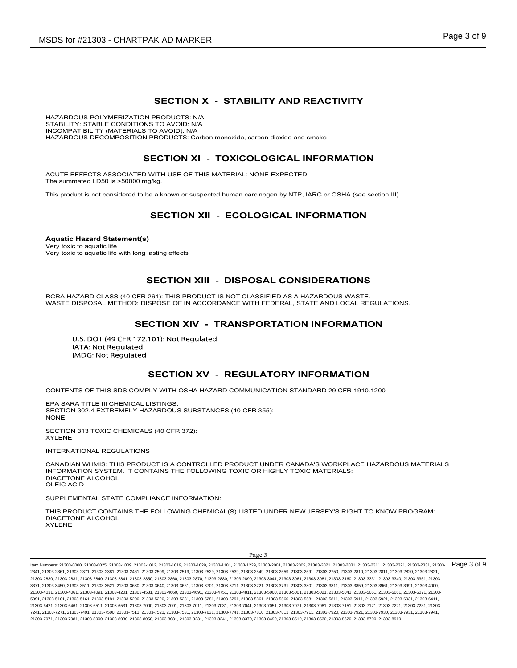K AD MARKER<br>
SECTION X - STABILITY AND REACTIVITY<br>
PRODUCTS: N/A<br>
TO AVOID: N/A<br>
TO AVOID: N/A<br>
DAVOID: N/A<br>
DAVOID: N/A<br>
RODUCTS: Carbon monoxide, carbon dioxide and smoke HAZARDOUS POLYMERIZATION PRODUCTS: N/A STABILITY: STABLE CONDITIONS TO AVOID: N/A INCOMPATIBILITY (MATERIALS TO AVOID): N/A HAZARDOUS DECOMPOSITION PRODUCTS: Carbon monoxide, carbon dioxide and smoke PAK AD MARKER<br>
SECTION X STABILITY AND REACTIVITY<br>
IN PRODUCTS: N/A<br>
IS TO AVOID): N/A<br>
IS TO AVOID): N/A<br>
IS TO AVOID): N/A<br>
IS TO AVOID; N/A<br>
SECTION XI TOXICOLOGICAL INFORMATION<br>
SECTION XI TOXICOLOG AK AD MARKER<br>
SECTION X - STABILITY AND REACTIVITY<br>
FRODUCTS: NA<br>
STO AVOID: NA<br>
STO AVOID: NA<br>
STO AVOID: NA<br>
ECTION XI - TOXICOLOGICAL INFORMATION<br>
MTH USE OF THIS MATERIAL: NONE EXPECTED<br>
9 A RIOWI OF STHIS MATERI SECTION X - STABILITY AND REACTIVITY<br>
IS TO AVOID: NA<br>
IO AVOID: NA<br>
IO AVOID: NA<br>
IS TO AVOID: NA<br>
PRODUCTS: Carbon monoxide, carbon dioxide and smoke<br>
BECTION XII - TOXICOLOGICAL INFORMATION<br>
WITH USE OF THIS MATERIAL: N **SECTION XII - DISPOSAL CONSIDERATION SECTION XIV - TRANSPORTATION INFORMATION**<br>
SECTION XI - TOXICOLOGICAL INFORMATION<br>
SECTION XI - TOXICOLOGICAL INFORMATION<br>
Dimplys<br>
TED WITH USE OF THIS MATERIAL: NONE EXPECTED<br>
Dimply

ACUTE EFFECTS ASSOCIATED WITH USE OF THIS MATERIAL: NONE EXPECTED The summated LD50 is >50000 mg/kg.

This product is not considered to be a known or suspected human carcinogen by NTP, IARC or OSHA (see section III)

Aquatic Hazard Statement(s) Very toxic to aquatic life Very toxic to aquatic life with long lasting effects

RCRA HAZARD CLASS (40 CFR 261): THIS PRODUCT IS NOT CLASSIFIED AS A HAZARDOUS WASTE. WASTE DISPOSAL METHOD: DISPOSE OF IN ACCORDANCE WITH FEDERAL, STATE AND LOCAL REGULATIONS. IS THIS MATERIAL: NONE EXPECTED<br>WITH USE OF THIS MATERIAL: NONE EXPECTED<br>g/kg).<br>B<sup>ARG</sup><br>B is a known of suspected numan carcinogen by NTP, IARC or OSHA (see section III)<br>SECTION XII - ECOLOGICAL INFORMATION<br>Sasting effects<br>

CONTENTS OF THIS SDS COMPLY WITH OSHA HAZARD COMMUNICATION STANDARD 29 CFR 1910.1200

EPA SARA TITLE III CHEMICAL LISTINGS: SECTION 302.4 EXTREMELY HAZARDOUS SUBSTANCES (40 CFR 355): NONE **NOTE** 

SECTION 313 TOXIC CHEMICALS (40 CFR 372): XYLENE

INTERNATIONAL REGULATIONS

CANADIAN WHMIS: THIS PRODUCT IS A CONTROLLED PRODUCT UNDER CANADA'S WORKPLACE HAZARDOUS MATERIALS INFORMATION SYSTEM. IT CONTAINS THE FOLLOWING TOXIC OR HIGHLY TOXIC MATERIALS: DIACETONE ALCOHOL OLEIC ACID

SUPPLEMENTAL STATE COMPLIANCE INFORMATION:

THIS PRODUCT CONTAINS THE FOLLOWING CHEMICAL(S) LISTED UNDER NEW JERSEY'S RIGHT TO KNOW PROGRAM: DIACETONE ALCOHOL XYLENE

**JLATORY INFORMATION**<br>IUNICATION STANDARD 29 CFR 1910.1200<br>TR 355):<br>TRISSES:<br>OR HIGHLY TOXIC MATERIALS:<br>DRIENT TO KNOW PROGRAM:<br>TED UNDER NEW JERSEY'S RIGHT TO KNOW PROGRAM:<br>Page 3<br>Page 3<br>229, 21303-2001, 21303-2003, 21303 ltem Numbers: 21303-0000, 21303-0025, 21303-1019, 21303-1019, 21303-1029, 21303-1029, 21303-2201, 21303-2000, 21303-2009, 21303-2031, 21303-2031, 21303-231, 21303-2321, 21303-2321, 21303-2321, 21303-2331, 21303-2031, 21303 2341, 21303-2361, 21303-2371, 21303-2381, 21303-2461, 21303-2509, 21303-2519, 21303-2529, 21303-2539, 21303-2549, 21303-2559, 21303-2591, 21303-2750, 21303-2810, 21303-2811, 21303-2820, 21303-2821, 21303-2830, 21303-2831, 21303-2840, 21303-2841, 21303-2850, 21303-2860, 21303-2870, 21303-2880, 21303-2890, 21303-3041, 21303-3061, 21303-3081, 21303-3160, 21303-3331, 21303-3340, 21303-3351, 21303- 3371, 21303-3450, 21303-3511, 21303-3521, 21303-3630, 21303-3640, 21303-3661, 21303-3701, 21303-3711, 21303-3721, 21303-3731, 21303-3801, 21303-3811, 21303-3859, 21303-3961, 21303-3991, 21303-4000, 21303-4031, 21303-4061, 21303-4091, 21303-4201, 21303-4531, 21303-4660, 21303-4691, 21303-4751, 21303-4811, 21303-5000, 21303-5001, 21303-5021, 21303-5041, 21303-5051, 21303-5061, 21303-5071, 21303- 5091, 21303-5101, 21303-5161, 21303-5181, 21303-5200, 21303-5220, 21303-5231, 21303-5281, 21303-5291, 21303-5361, 21303-5560, 21303-5581, 21303-5811, 21303-5911, 21303-5921, 21303-6031, 21303-6411, 21303-6421, 21303-6461, 21303-6511, 21303-6531, 21303-7000, 21303-7001, 21303-7011, 21303-7031, 21303-7041, 21303-7051, 21303-7071, 21303-7081, 21303-7151, 21303-7171, 21303-7221, 21303-7231, 21303- 7241, 21303-7271, 21303-7491, 21303-7500, 21303-7511, 21303-7521, 21303-7531, 21303-7631, 21303-7741, 21303-7810, 21303-7811, 21303-7911, 21303-7920, 21303-7921, 21303-7930, 21303-7931, 21303-7941, 21303-7971, 21303-7981, 21303-8000, 21303-8030, 21303-8050, 21303-8081, 21303-8231, 21303-8241, 21303-8370, 21303-8490, 21303-8510, 21303-8530, 21303-8620, 21303-8700, 21303-8910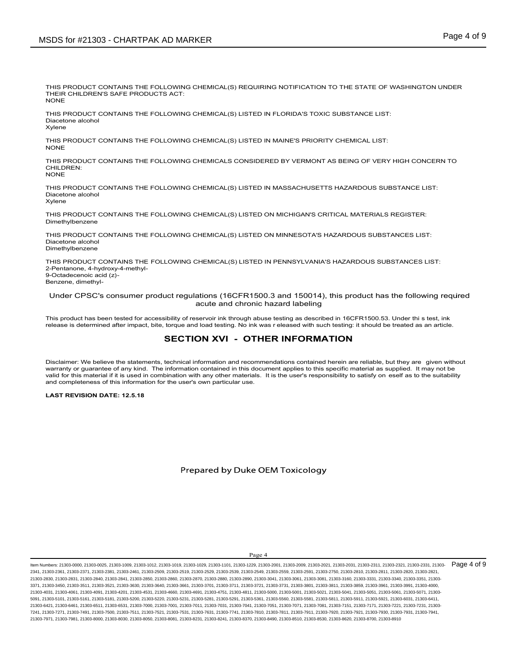THIS PRODUCT CONTAINS THE FOLLOWING CHEMICAL(S) REQUIRING NOTIFICATION TO THE STATE OF WASHINGTON UNDER THEIR CHILDREN'S SAFE PRODUCTS ACT:<br>NONF NONE **NOTE** 

THIS PRODUCT CONTAINS THE FOLLOWING CHEMICAL(S) LISTED IN FLORIDA'S TOXIC SUBSTANCE LIST: Diacetone alcohol Xylene

THIS PRODUCT CONTAINS THE FOLLOWING CHEMICAL(S) LISTED IN MAINE'S PRIORITY CHEMICAL LIST: NONE **NOTE** 

THIS PRODUCT CONTAINS THE FOLLOWING CHEMICALS CONSIDERED BY VERMONT AS BEING OF VERY HIGH CONCERN TO CHILDREN:<br>NONE NONE **NOTE** 

THIS PRODUCT CONTAINS THE FOLLOWING CHEMICAL(S) LISTED IN MASSACHUSETTS HAZARDOUS SUBSTANCE LIST: Diacetone alcohol Xylene

THIS PRODUCT CONTAINS THE FOLLOWING CHEMICAL(S) LISTED ON MICHIGAN'S CRITICAL MATERIALS REGISTER: Dimethylbenzene

THIS PRODUCT CONTAINS THE FOLLOWING CHEMICAL(S) LISTED ON MINNESOTA'S HAZARDOUS SUBSTANCES LIST: Diacetone alcohol Dimethylbenzene

SUG 101 #21303 - CHART FAR AD WARRER<br>THIS PRODUCT CONTAINS THE FOLLOWING CHEMICAL(S) REQUIRING NOTIFICATION TO THE STATE OF WASHINGTON UNDER<br>THIS PRODUCT CONTAINS THE FOLLOWING CHEMICAL(S) LISTED IN FLORIDA'S TOXIC SUBSTAN 2-Pentanone, 4-hydroxy-4-methyl-9-Octadecenoic acid (z)- Benzene, dimethyl-NORTHIS PRODUCT CONTAINS THE FOLLOWING CHEMICAL(S) LISTED IN FLORIDA'S TOXIC SUBSTANCE LIST.<br>This product contains the following chemicals considered for accessibility of reservoir increases a<br>Systems abuse the forest of t This PRODUCT CONTAINS THE FOLLOWING CHEMICAL(S) LISTED IN FLORIDA'S TOXIC SUBSTANCE LIST:<br>When we started<br>When the started control of the following chemical is operation.<br>This PRODUCT CONTAINS THE FOLLOWING CHEMICAL(S) LIS This PRODUCT CONTAINS THE FOLLOWING CHEMICAL IS DISTED IN MAINES PRODUCT STERN FIRST THIS PRODUCT CONTAINS THE FOLLOWING CHEMICAL IS ONSIDERED BY VERMONT AS BEINS OF VERY HIGH CONCERN TO THIS PRODUCT CONTAINS THE FOLLOWING THIS PRODUCT CONTAINS THE FOLLOWING CHEMICALS CONSIDERED BY VERMONT AS BEING OF VERY HIGH CONCERN TO<br>COMBINE THOSE CONTAINS THE FOLLOWING CHEMICAL(S) LISTED IN MASSACHUSETTS HAZARDOUS SUBSTANCE LIST:<br>THIS FRODUCT CONTAINS

### Under CPSC's consumer product regulations (16CFR1500.3 and 150014), this product has the following required acute and chronic hazard labeling

LOWING CHEMICAL(S) LISTED IN MAINE'S PRIORITY CHEMICAL LIST:<br>LOWING CHEMICALS CONSIDERED BY VERMONT AS BEING OF VERY HIGH CONCERN TO<br>LOWING CHEMICAL(S) LISTED ON MICHIGAN'S CRITICAL MATERIALS REGISTER:<br>LOWING CHEMICAL(S) L Disclaimer: We believe the statements, technical information and recommendations contained herein are reliable, but they are given without warranty or guarantee of any kind. The information contained in this document appli valid for this material if it is used in combination with any other materials. It is the user's responsibility to satisfy on eself as to the suitability and completeness of this information for the user's own particular us

LAST REVISION DATE: 12.5.18

**ITHER INFORMATION**<br>commendations contained herein are reliable, but they are given without<br>document applies to this specific material as supplied. It may not be<br>document applies to this specific material as supplied. It ltem Numbers: 21303-0000, 21303-0025, 21303-1019, 21303-1019, 21303-1029, 21303-1029, 21303-2201, 21303-2000, 21303-2009, 21303-2031, 21303-2031, 21303-231, 21303-2321, 21303-2321, 21303-2321, 21303-2331, 21303-2031, 21303 2341, 21303-2361, 21303-2371, 21303-2381, 21303-2461, 21303-2509, 21303-2519, 21303-2529, 21303-2539, 21303-2549, 21303-2559, 21303-2591, 21303-2750, 21303-2810, 21303-2811, 21303-2820, 21303-2821, 21303-2830, 21303-2831, 21303-2840, 21303-2841, 21303-2850, 21303-2860, 21303-2870, 21303-2880, 21303-2890, 21303-3041, 21303-3061, 21303-3081, 21303-3160, 21303-3331, 21303-3340, 21303-3351, 21303- 3371, 21303-3450, 21303-3511, 21303-3521, 21303-3630, 21303-3640, 21303-3661, 21303-3701, 21303-3711, 21303-3721, 21303-3731, 21303-3801, 21303-3811, 21303-3859, 21303-3961, 21303-3991, 21303-4000, 21303-4031, 21303-4061, 21303-4091, 21303-4201, 21303-4531, 21303-4660, 21303-4691, 21303-4751, 21303-4811, 21303-5000, 21303-5001, 21303-5021, 21303-5041, 21303-5051, 21303-5061, 21303-5071, 21303- 5091, 21303-5101, 21303-5161, 21303-5181, 21303-5200, 21303-5220, 21303-5231, 21303-5281, 21303-5291, 21303-5361, 21303-5560, 21303-5581, 21303-5811, 21303-5911, 21303-5921, 21303-6031, 21303-6411, 21303-6421, 21303-6461, 21303-6511, 21303-6531, 21303-7000, 21303-7001, 21303-7011, 21303-7031, 21303-7041, 21303-7051, 21303-7071, 21303-7081, 21303-7151, 21303-7171, 21303-7221, 21303-7231, 21303- 7241, 21303-7271, 21303-7491, 21303-7500, 21303-7511, 21303-7521, 21303-7531, 21303-7631, 21303-7741, 21303-7810, 21303-7811, 21303-7911, 21303-7920, 21303-7921, 21303-7930, 21303-7931, 21303-7941, 21303-7971, 21303-7981, 21303-8000, 21303-8030, 21303-8050, 21303-8081, 21303-8231, 21303-8241, 21303-8370, 21303-8490, 21303-8510, 21303-8530, 21303-8620, 21303-8700, 21303-8910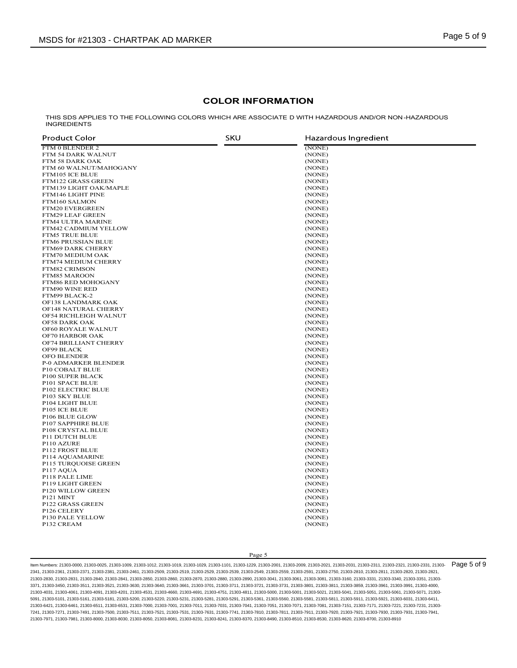# COLOR INFORMATION

|                                              | <b>COLOR INFORMATION</b> |                                                                                                    |
|----------------------------------------------|--------------------------|----------------------------------------------------------------------------------------------------|
| <b>INGREDIENTS</b>                           |                          | THIS SDS APPLIES TO THE FOLLOWING COLORS WHICH ARE ASSOCIATE D WITH HAZARDOUS AND/OR NON-HAZARDOUS |
| <b>Product Color</b>                         | <b>SKU</b>               | Hazardous Ingredient                                                                               |
| FTM 0 BLENDER 2<br>FTM 54 DARK WALNUT        |                          | (NONE)<br>(NONE)                                                                                   |
| FTM 58 DARK OAK<br>FTM 60 WALNUT/MAHOGANY    |                          | (NONE)<br>(NONE)                                                                                   |
| FTM105 ICE BLUE                              |                          | (NONE)                                                                                             |
| FTM122 GRASS GREEN<br>FTM139 LIGHT OAK/MAPLE |                          | (NONE)<br>(NONE)                                                                                   |
| FTM146 LIGHT PINE                            |                          | (NONE)                                                                                             |
| FTM160 SALMON<br>FTM20 EVERGREEN             |                          | (NONE)<br>(NONE)                                                                                   |
| FTM29 LEAF GREEN                             |                          | (NONE)                                                                                             |
| FTM4 ULTRA MARINE<br>FTM42 CADMIUM YELLOW    |                          | (NONE)<br>(NONE)                                                                                   |
| <b>FTM5 TRUE BLUE</b><br>FTM6 PRUSSIAN BLUE  |                          | (NONE)<br>(NONE)                                                                                   |
| <b>FTM69 DARK CHERRY</b>                     |                          | (NONE)                                                                                             |
| FTM70 MEDIUM OAK<br>FTM74 MEDIUM CHERRY      |                          | (NONE)<br>(NONE)                                                                                   |
| FTM82 CRIMSON                                |                          | (NONE)                                                                                             |
| FTM85 MAROON<br>FTM86 RED MOHOGANY           |                          | (NONE)<br>(NONE)                                                                                   |
| FTM90 WINE RED                               |                          | (NONE)                                                                                             |
| FTM99 BLACK-2<br>OF138 LANDMARK OAK          |                          | (NONE)<br>(NONE)                                                                                   |
| OF148 NATURAL CHERRY                         |                          | (NONE)                                                                                             |
| OF54 RICHLEIGH WALNUT<br>OF58 DARK OAK       |                          | (NONE)<br>(NONE)                                                                                   |
| OF60 ROYALE WALNUT<br>OF70 HARBOR OAK        |                          | (NONE)<br>(NONE)                                                                                   |
| OF74 BRILLIANT CHERRY                        |                          | (NONE)                                                                                             |
| OF99 BLACK<br>OFO BLENDER                    |                          | (NONE)<br>(NONE)                                                                                   |
| <b>P-0 ADMARKER BLENDER</b>                  |                          | (NONE)                                                                                             |
| P10 COBALT BLUE<br>P100 SUPER BLACK          |                          | (NONE)<br>(NONE)                                                                                   |
| P101 SPACE BLUE                              |                          | (NONE)                                                                                             |
| P102 ELECTRIC BLUE<br>P103 SKY BLUE          |                          | (NONE)<br>(NONE)                                                                                   |
| P104 LIGHT BLUE<br>P105 ICE BLUE             |                          | (NONE)<br>(NONE)                                                                                   |
| P106 BLUE GLOW                               |                          | (NONE)                                                                                             |
| P107 SAPPHIRE BLUE<br>P108 CRYSTAL BLUE      |                          | (NONE)<br>(NONE)                                                                                   |
| P11 DUTCH BLUE                               |                          | (NONE)                                                                                             |
| P110 AZURE<br>P112 FROST BLUE                |                          | (NONE)<br>(NONE)                                                                                   |
| P114 AQUAMARINE                              |                          | (NONE)                                                                                             |
| P115 TURQUOISE GREEN<br>P117 AQUA            |                          | (NONE)<br>(NONE)                                                                                   |
| P118 PALE LIME<br>P119 LIGHT GREEN           |                          | (NONE)<br>(NONE)                                                                                   |
| P120 WILLOW GREEN                            |                          | (NONE)                                                                                             |
| P <sub>121</sub> MINT<br>P122 GRASS GREEN    |                          | (NONE)<br>(NONE)                                                                                   |
| P126 CELERY                                  |                          | (NONE)                                                                                             |
| P130 PALE YELLOW<br>P132 CREAM               |                          | (NONE)<br>(NONE)                                                                                   |
|                                              |                          |                                                                                                    |
|                                              |                          |                                                                                                    |
|                                              | Page 5                   |                                                                                                    |

ltem Numbers: 21303-0000, 21303-0025, 21303-1019, 21303-1012, 21303-1019, 21303-1029, 21303-1101, 21303-2103, 21303-2001, 21303-2009, 21303-2021, 21303-2031, 21303-2311, 21303-2321, 21303-2321, 21303-2331, 21303-2331, 2130 2341, 21303-2361, 21303-2371, 21303-2381, 21303-2461, 21303-2509, 21303-2519, 21303-2529, 21303-2539, 21303-2549, 21303-2559, 21303-2591, 21303-2750, 21303-2810, 21303-2811, 21303-2820, 21303-2821, 21303-2830, 21303-2831, 21303-2840, 21303-2841, 21303-2850, 21303-2860, 21303-2870, 21303-2880, 21303-2890, 21303-3041, 21303-3061, 21303-3081, 21303-3160, 21303-3331, 21303-3340, 21303-3351, 21303- 3371, 21303-3450, 21303-3511, 21303-3521, 21303-3630, 21303-3640, 21303-3661, 21303-3701, 21303-3711, 21303-3721, 21303-3731, 21303-3801, 21303-3811, 21303-3859, 21303-3961, 21303-3991, 21303-4000, 21303-4031, 21303-4061, 21303-4091, 21303-4201, 21303-4531, 21303-4660, 21303-4691, 21303-4751, 21303-4811, 21303-5000, 21303-5001, 21303-5021, 21303-5041, 21303-5051, 21303-5061, 21303-5071, 21303- 5091, 21303-5101, 21303-5161, 21303-5181, 21303-5200, 21303-5220, 21303-5231, 21303-5281, 21303-5291, 21303-5361, 21303-5560, 21303-5581, 21303-5811, 21303-5911, 21303-5921, 21303-6031, 21303-6411, 21303-6421, 21303-6461, 21303-6511, 21303-6531, 21303-7000, 21303-7001, 21303-7011, 21303-7031, 21303-7041, 21303-7051, 21303-7071, 21303-7081, 21303-7151, 21303-7171, 21303-7221, 21303-7231, 21303- 7241, 21303-7271, 21303-7491, 21303-7500, 21303-7511, 21303-7521, 21303-7531, 21303-7631, 21303-7741, 21303-7810, 21303-7811, 21303-7911, 21303-7920, 21303-7921, 21303-7930, 21303-7931, 21303-7941, 21303-7971, 21303-7981, 21303-8000, 21303-8030, 21303-8050, 21303-8081, 21303-8231, 21303-8241, 21303-8370, 21303-8490, 21303-8510, 21303-8530, 21303-8620, 21303-8700, 21303-8910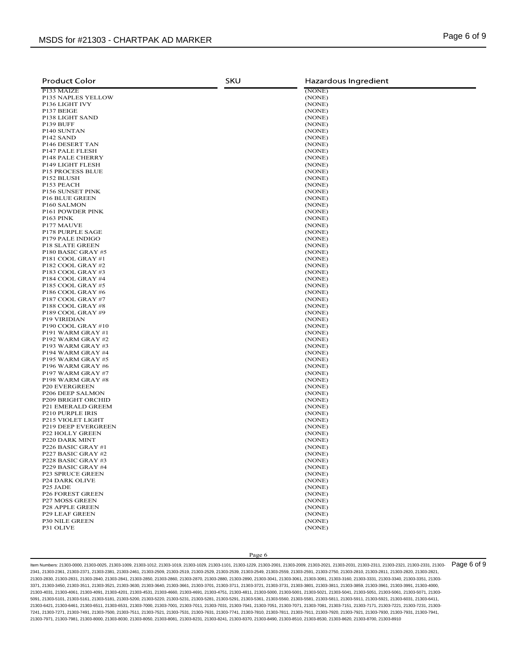| <b>Product Color</b>                                 | <b>SKU</b> | Hazardous Ingredient |
|------------------------------------------------------|------------|----------------------|
| P133 MAIZE<br>P135 NAPLES YELLOW                     |            | (NONE)<br>(NONE)     |
| P136 LIGHT IVY                                       |            | (NONE)               |
| P137 BEIGE<br>P138 LIGHT SAND                        |            | (NONE)<br>(NONE)     |
| P139 BUFF                                            |            | (NONE)               |
| P140 SUNTAN<br>P142 SAND                             |            | (NONE)<br>(NONE)     |
| P146 DESERT TAN                                      |            | (NONE)               |
| P147 PALE FLESH<br>P148 PALE CHERRY                  |            | (NONE)<br>(NONE)     |
| P149 LIGHT FLESH                                     |            | (NONE)               |
| <b>P15 PROCESS BLUE</b><br>P152 BLUSH                |            | (NONE)<br>(NONE)     |
| P153 PEACH                                           |            | (NONE)               |
| P156 SUNSET PINK<br><b>P16 BLUE GREEN</b>            |            | (NONE)<br>(NONE)     |
| P160 SALMON<br><b>P161 POWDER PINK</b>               |            | (NONE)<br>(NONE)     |
| P163 PINK                                            |            | (NONE)               |
| P177 MAUVE<br>P178 PURPLE SAGE                       |            | (NONE)<br>(NONE)     |
| P179 PALE INDIGO                                     |            | (NONE)               |
| <b>P18 SLATE GREEN</b><br>P180 BASIC GRAY #5         |            | (NONE)<br>(NONE)     |
| P181 COOL GRAY #1<br>P182 COOL GRAY #2               |            | (NONE)<br>(NONE)     |
| P183 COOL GRAY #3                                    |            | (NONE)               |
| P184 COOL GRAY #4<br>P185 COOL GRAY #5               |            | (NONE)<br>(NONE)     |
| P186 COOL GRAY #6                                    |            | (NONE)               |
| P187 COOL GRAY #7<br>P188 COOL GRAY #8               |            | (NONE)<br>(NONE)     |
| P189 COOL GRAY #9                                    |            | (NONE)               |
| <b>P19 VIRIDIAN</b><br>P190 COOL GRAY #10            |            | (NONE)<br>(NONE)     |
| P191 WARM GRAY #1<br>P192 WARM GRAY #2               |            | (NONE)               |
| P193 WARM GRAY #3                                    |            | (NONE)<br>(NONE)     |
| P194 WARM GRAY #4<br><b>P195 WARM GRAY #5</b>        |            | (NONE)<br>(NONE)     |
| P196 WARM GRAY #6                                    |            | (NONE)               |
| P197 WARM GRAY #7<br>P198 WARM GRAY #8               |            | (NONE)<br>(NONE)     |
| <b>P20 EVERGREEN</b>                                 |            | (NONE)               |
| P206 DEEP SALMON<br><b>P209 BRIGHT ORCHID</b>        |            | (NONE)<br>(NONE)     |
| P21 EMERALD GREEM<br>P210 PURPLE IRIS                |            | (NONE)<br>(NONE)     |
| P215 VIOLET LIGHT                                    |            | (NONE)               |
| <b>P219 DEEP EVERGREEN</b><br><b>P22 HOLLY GREEN</b> |            | (NONE)<br>(NONE)     |
| P220 DARK MINT                                       |            | (NONE)               |
| P226 BASIC GRAY #1<br>P227 BASIC GRAY #2             |            | (NONE)<br>(NONE)     |
| P228 BASIC GRAY #3                                   |            | (NONE)               |
| P229 BASIC GRAY #4<br><b>P23 SPRUCE GREEN</b>        |            | (NONE)<br>(NONE)     |
| <b>P24 DARK OLIVE</b>                                |            | (NONE)               |
| P <sub>25</sub> JADE<br><b>P26 FOREST GREEN</b>      |            | (NONE)<br>(NONE)     |
| <b>P27 MOSS GREEN</b>                                |            | (NONE)               |
| <b>P28 APPLE GREEN</b><br><b>P29 LEAF GREEN</b>      |            | (NONE)<br>(NONE)     |
| <b>P30 NILE GREEN</b><br>P31 OLIVE                   |            | (NONE)<br>(NONE)     |
|                                                      |            |                      |
|                                                      |            |                      |
|                                                      | Page 6     |                      |

ltem Numbers: 21303-0000, 21303-0025, 21303-1019, 21303-1012, 21303-1019, 21303-1029, 21303-1101, 21303-2103, 21303-2001, 21303-2009, 21303-2021, 21303-2031, 21303-2311, 21303-2321, 21303-2321, 21303-2331, 21303-2331, 2130 2341, 21303-2361, 21303-2371, 21303-2381, 21303-2461, 21303-2509, 21303-2519, 21303-2529, 21303-2539, 21303-2549, 21303-2559, 21303-2591, 21303-2750, 21303-2810, 21303-2811, 21303-2820, 21303-2821, 21303-2830, 21303-2831, 21303-2840, 21303-2841, 21303-2850, 21303-2860, 21303-2870, 21303-2880, 21303-2890, 21303-3041, 21303-3061, 21303-3081, 21303-3160, 21303-3331, 21303-3340, 21303-3351, 21303- 3371, 21303-3450, 21303-3511, 21303-3521, 21303-3630, 21303-3640, 21303-3661, 21303-3701, 21303-3711, 21303-3721, 21303-3731, 21303-3801, 21303-3811, 21303-3859, 21303-3961, 21303-3991, 21303-4000, 21303-4031, 21303-4061, 21303-4091, 21303-4201, 21303-4531, 21303-4660, 21303-4691, 21303-4751, 21303-4811, 21303-5000, 21303-5001, 21303-5021, 21303-5041, 21303-5051, 21303-5061, 21303-5071, 21303- 5091, 21303-5101, 21303-5161, 21303-5181, 21303-5200, 21303-5220, 21303-5231, 21303-5281, 21303-5291, 21303-5361, 21303-5560, 21303-5581, 21303-5811, 21303-5911, 21303-5921, 21303-6031, 21303-6411, 21303-6421, 21303-6461, 21303-6511, 21303-6531, 21303-7000, 21303-7001, 21303-7011, 21303-7031, 21303-7041, 21303-7051, 21303-7071, 21303-7081, 21303-7151, 21303-7171, 21303-7221, 21303-7231, 21303- 7241, 21303-7271, 21303-7491, 21303-7500, 21303-7511, 21303-7521, 21303-7531, 21303-7631, 21303-7741, 21303-7810, 21303-7811, 21303-7911, 21303-7920, 21303-7921, 21303-7930, 21303-7931, 21303-7941, 21303-7971, 21303-7981, 21303-8000, 21303-8030, 21303-8050, 21303-8081, 21303-8231, 21303-8241, 21303-8370, 21303-8490, 21303-8510, 21303-8530, 21303-8620, 21303-8700, 21303-8910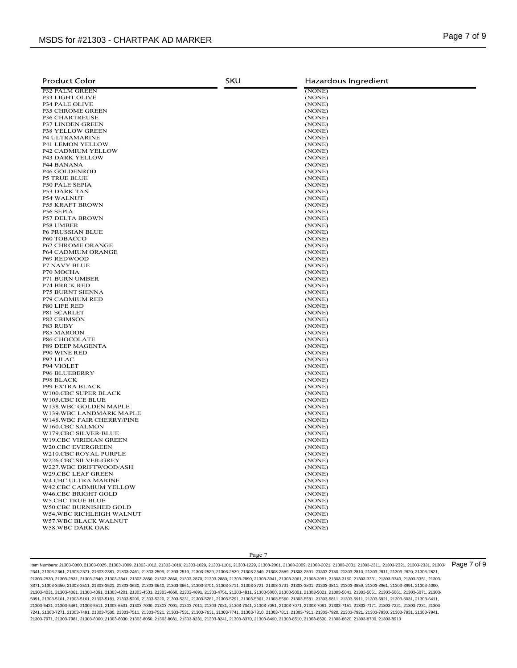| <b>Product Color</b>                                 | <b>SKU</b> | Hazardous Ingredient |
|------------------------------------------------------|------------|----------------------|
| <b>P32 PALM GREEN</b><br>P33 LIGHT OLIVE             |            | (NONE)<br>(NONE)     |
| <b>P34 PALE OLIVE</b>                                |            | (NONE)               |
| P35 CHROME GREEN<br><b>P36 CHARTREUSE</b>            |            | (NONE)<br>(NONE)     |
| <b>P37 LINDEN GREEN</b><br>P38 YELLOW GREEN          |            | (NONE)<br>(NONE)     |
| <b>P4 ULTRAMARINE</b>                                |            | (NONE)               |
| <b>P41 LEMON YELLOW</b><br><b>P42 CADMIUM YELLOW</b> |            | (NONE)<br>(NONE)     |
| <b>P43 DARK YELLOW</b>                               |            | (NONE)               |
| <b>P44 BANANA</b><br>P46 GOLDENROD                   |            | (NONE)<br>(NONE)     |
| <b>P5 TRUE BLUE</b>                                  |            | (NONE)               |
| <b>P50 PALE SEPIA</b><br><b>P53 DARK TAN</b>         |            | (NONE)<br>(NONE)     |
| <b>P54 WALNUT</b>                                    |            | (NONE)               |
| <b>P55 KRAFT BROWN</b><br>P56 SEPIA                  |            | (NONE)<br>(NONE)     |
| <b>P57 DELTA BROWN</b><br><b>P58 UMBER</b>           |            | (NONE)<br>(NONE)     |
| <b>P6 PRUSSIAN BLUE</b>                              |            | (NONE)               |
| P60 TOBACCO<br><b>P62 CHROME ORANGE</b>              |            | (NONE)<br>(NONE)     |
| <b>P64 CADMIUM ORANGE</b><br><b>P69 REDWOOD</b>      |            | (NONE)               |
| <b>P7 NAVY BLUE</b>                                  |            | (NONE)<br>(NONE)     |
| P70 MOCHA<br><b>P71 BURN UMBER</b>                   |            | (NONE)<br>(NONE)     |
| <b>P74 BRICK RED</b>                                 |            | (NONE)               |
| <b>P75 BURNT SIENNA</b><br><b>P79 CADMIUM RED</b>    |            | (NONE)<br>(NONE)     |
| P80 LIFE RED                                         |            | (NONE)               |
| P81 SCARLET<br><b>P82 CRIMSON</b>                    |            | (NONE)<br>(NONE)     |
| P83 RUBY<br>P85 MAROON                               |            | (NONE)<br>(NONE)     |
| P86 CHOCOLATE                                        |            | (NONE)               |
| P89 DEEP MAGENTA<br><b>P90 WINE RED</b>              |            | (NONE)<br>(NONE)     |
| P92 LILAC                                            |            | (NONE)               |
| P94 VIOLET<br>P96 BLUEBERRY                          |            | (NONE)<br>(NONE)     |
| <b>P98 BLACK</b>                                     |            | (NONE)               |
| <b>P99 EXTRA BLACK</b><br>W100.CBC SUPER BLACK       |            | (NONE)<br>(NONE)     |
| W105.CBC ICE BLUE<br>W138.WBC GOLDEN MAPLE           |            | (NONE)<br>(NONE)     |
| W139.WBC LANDMARK MAPLE                              |            | (NONE)               |
| W148.WBC FAIR CHERRY/PINE<br>W160.CBC SALMON         |            | (NONE)<br>(NONE)     |
| W179.CBC SILVER-BLUE                                 |            | (NONE)               |
| W19.CBC VIRIDIAN GREEN<br>W20.CBC EVERGREEN          |            | (NONE)<br>(NONE)     |
| W210.CBC ROYAL PURPLE                                |            | (NONE)               |
| W226.CBC SILVER-GREY<br>W227.WBC DRIFTWOOD/ASH       |            | (NONE)<br>(NONE)     |
| W29.CBC LEAF GREEN<br><b>W4.CBC ULTRA MARINE</b>     |            | (NONE)<br>(NONE)     |
| W42.CBC CADMIUM YELLOW                               |            | (NONE)               |
| W46.CBC BRIGHT GOLD<br><b>W5.CBC TRUE BLUE</b>       |            | (NONE)<br>(NONE)     |
| W50.CBC BURNISHED GOLD                               |            | (NONE)               |
| W54.WBC RICHLEIGH WALNUT<br>W57.WBC BLACK WALNUT     |            | (NONE)<br>(NONE)     |
| W58.WBC DARK OAK                                     |            | (NONE)               |
|                                                      |            |                      |
|                                                      |            |                      |

ltem Numbers: 21303-0000, 21303-0025, 21303-1019, 21303-1019, 21303-1029, 21303-1029, 21303-2201, 21303-2000, 21303-2009, 21303-2031, 21303-2031, 21303-231, 21303-2321, 21303-2321, 21303-2321, 21303-2331, 21303-2031, 21303 2341, 21303-2361, 21303-2371, 21303-2381, 21303-2461, 21303-2509, 21303-2519, 21303-2529, 21303-2539, 21303-2549, 21303-2559, 21303-2591, 21303-2750, 21303-2810, 21303-2811, 21303-2820, 21303-2821, 21303-2830, 21303-2831, 21303-2840, 21303-2841, 21303-2850, 21303-2860, 21303-2870, 21303-2880, 21303-2890, 21303-3041, 21303-3061, 21303-3081, 21303-3160, 21303-3331, 21303-3340, 21303-3351, 21303- 3371, 21303-3450, 21303-3511, 21303-3521, 21303-3630, 21303-3640, 21303-3661, 21303-3701, 21303-3711, 21303-3721, 21303-3731, 21303-3801, 21303-3811, 21303-3859, 21303-3961, 21303-3991, 21303-4000, 21303-4031, 21303-4061, 21303-4091, 21303-4201, 21303-4531, 21303-4660, 21303-4691, 21303-4751, 21303-4811, 21303-5000, 21303-5001, 21303-5021, 21303-5041, 21303-5051, 21303-5061, 21303-5071, 21303- 5091, 21303-5101, 21303-5161, 21303-5181, 21303-5200, 21303-5220, 21303-5231, 21303-5281, 21303-5291, 21303-5361, 21303-5560, 21303-5581, 21303-5811, 21303-5911, 21303-5921, 21303-6031, 21303-6411, 21303-6421, 21303-6461, 21303-6511, 21303-6531, 21303-7000, 21303-7001, 21303-7011, 21303-7031, 21303-7041, 21303-7051, 21303-7071, 21303-7081, 21303-7151, 21303-7171, 21303-7221, 21303-7231, 21303- 7241, 21303-7271, 21303-7491, 21303-7500, 21303-7511, 21303-7521, 21303-7531, 21303-7631, 21303-7741, 21303-7810, 21303-7811, 21303-7911, 21303-7920, 21303-7921, 21303-7930, 21303-7931, 21303-7941, 21303-7971, 21303-7981, 21303-8000, 21303-8030, 21303-8050, 21303-8081, 21303-8231, 21303-8241, 21303-8370, 21303-8490, 21303-8510, 21303-8530, 21303-8620, 21303-8700, 21303-8910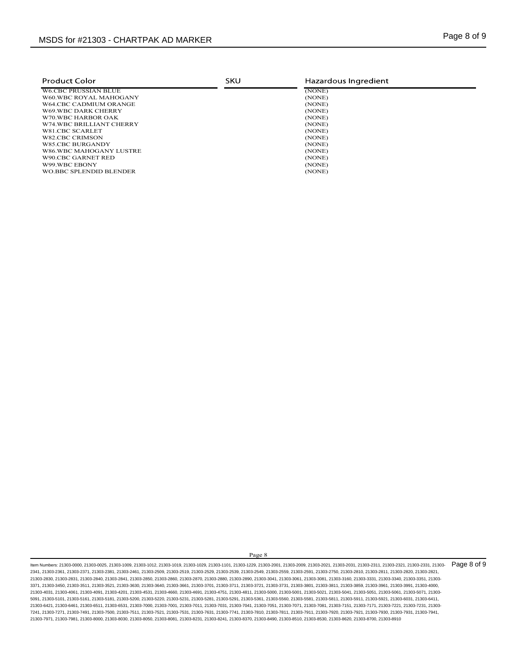| MSDS for #21303 - CHARTPAK AD MARKER<br>SKU<br>Hazardous Ingredient<br><b>Product Color</b><br>(NONE)<br><b>W6.CBC PRUSSIAN BLUE</b><br>(NONE)<br>W60.WBC ROYAL MAHOGANY<br>W64.CBC CADMIUM ORANGE<br>(NONE)<br>W69.WBC DARK CHERRY<br>(NONE)<br>(NONE)<br>W70.WBC HARBOR OAK<br>W74.WBC BRILLIANT CHERRY<br>(NONE)<br>W81.CBC SCARLET<br>(NONE)<br>(NONE)<br>W82.CBC CRIMSON<br><b>W85.CBC BURGANDY</b><br>(NONE)<br>(NONE)<br>W86.WBC MAHOGANY LUSTRE<br>(NONE)<br>W90.CBC GARNET RED<br>W99.WBC EBONY<br>(NONE)<br>WO.BBC SPLENDID BLENDER<br>(NONE) |  |             |
|---------------------------------------------------------------------------------------------------------------------------------------------------------------------------------------------------------------------------------------------------------------------------------------------------------------------------------------------------------------------------------------------------------------------------------------------------------------------------------------------------------------------------------------------------------|--|-------------|
|                                                                                                                                                                                                                                                                                                                                                                                                                                                                                                                                                         |  |             |
|                                                                                                                                                                                                                                                                                                                                                                                                                                                                                                                                                         |  |             |
|                                                                                                                                                                                                                                                                                                                                                                                                                                                                                                                                                         |  |             |
|                                                                                                                                                                                                                                                                                                                                                                                                                                                                                                                                                         |  |             |
|                                                                                                                                                                                                                                                                                                                                                                                                                                                                                                                                                         |  |             |
|                                                                                                                                                                                                                                                                                                                                                                                                                                                                                                                                                         |  | Page 8 of 9 |
|                                                                                                                                                                                                                                                                                                                                                                                                                                                                                                                                                         |  |             |
|                                                                                                                                                                                                                                                                                                                                                                                                                                                                                                                                                         |  |             |
|                                                                                                                                                                                                                                                                                                                                                                                                                                                                                                                                                         |  |             |
|                                                                                                                                                                                                                                                                                                                                                                                                                                                                                                                                                         |  |             |
|                                                                                                                                                                                                                                                                                                                                                                                                                                                                                                                                                         |  |             |
|                                                                                                                                                                                                                                                                                                                                                                                                                                                                                                                                                         |  |             |
|                                                                                                                                                                                                                                                                                                                                                                                                                                                                                                                                                         |  |             |
|                                                                                                                                                                                                                                                                                                                                                                                                                                                                                                                                                         |  |             |
|                                                                                                                                                                                                                                                                                                                                                                                                                                                                                                                                                         |  |             |
|                                                                                                                                                                                                                                                                                                                                                                                                                                                                                                                                                         |  |             |
|                                                                                                                                                                                                                                                                                                                                                                                                                                                                                                                                                         |  |             |
|                                                                                                                                                                                                                                                                                                                                                                                                                                                                                                                                                         |  |             |
|                                                                                                                                                                                                                                                                                                                                                                                                                                                                                                                                                         |  |             |

Page 8<br>
229, 2330-2400, 2330-2400, 2330-2402, 2330-2403, 2330-2431, 2330-2431, 2330-2431, 2330-2431, 2330-2431, 2330-<br>
229, 2330-2401, 2330-2403, 2330-2403, 2330-2340, 2330-2340, 2330-2431, 2330-2430, 2330-2431, 2330-2431 ltem Numbers: 21303-0000, 21303-0025, 21303-1019, 21303-1019, 21303-1029, 21303-1029, 21303-2201, 21303-2000, 21303-2009, 21303-2031, 21303-2031, 21303-231, 21303-2321, 21303-2321, 21303-2321, 21303-2331, 21303-2031, 21303 2341, 21303-2361, 21303-2371, 21303-2381, 21303-2461, 21303-2509, 21303-2519, 21303-2529, 21303-2539, 21303-2549, 21303-2559, 21303-2591, 21303-2750, 21303-2810, 21303-2811, 21303-2820, 21303-2821, 21303-2830, 21303-2831, 21303-2840, 21303-2841, 21303-2850, 21303-2860, 21303-2870, 21303-2880, 21303-2890, 21303-3041, 21303-3061, 21303-3081, 21303-3160, 21303-3331, 21303-3340, 21303-3351, 21303- 3371, 21303-3450, 21303-3511, 21303-3521, 21303-3630, 21303-3640, 21303-3661, 21303-3701, 21303-3711, 21303-3721, 21303-3731, 21303-3801, 21303-3811, 21303-3859, 21303-3961, 21303-3991, 21303-4000, 21303-4031, 21303-4061, 21303-4091, 21303-4201, 21303-4531, 21303-4660, 21303-4691, 21303-4751, 21303-4811, 21303-5000, 21303-5001, 21303-5021, 21303-5041, 21303-5051, 21303-5061, 21303-5071, 21303- 5091, 21303-5101, 21303-5161, 21303-5181, 21303-5200, 21303-5220, 21303-5231, 21303-5281, 21303-5291, 21303-5361, 21303-5560, 21303-5581, 21303-5811, 21303-5911, 21303-5921, 21303-6031, 21303-6411, 21303-6421, 21303-6461, 21303-6511, 21303-6531, 21303-7000, 21303-7001, 21303-7011, 21303-7031, 21303-7041, 21303-7051, 21303-7071, 21303-7081, 21303-7151, 21303-7171, 21303-7221, 21303-7231, 21303- 7241, 21303-7271, 21303-7491, 21303-7500, 21303-7511, 21303-7521, 21303-7531, 21303-7631, 21303-7741, 21303-7810, 21303-7811, 21303-7911, 21303-7920, 21303-7921, 21303-7930, 21303-7931, 21303-7941, 21303-7971, 21303-7981, 21303-8000, 21303-8030, 21303-8050, 21303-8081, 21303-8231, 21303-8241, 21303-8370, 21303-8490, 21303-8510, 21303-8530, 21303-8620, 21303-8700, 21303-8910